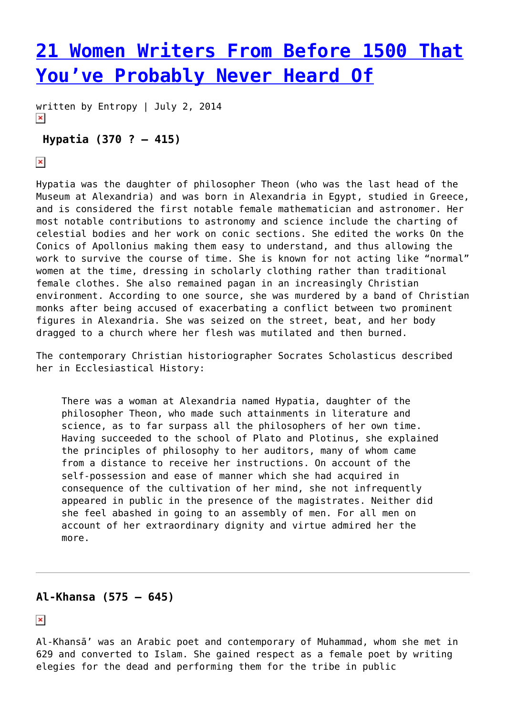# **[21 Women Writers From Before 1500 That](https://entropymag.org/women-writers-from-before-1500-that-youve-probably-never-heard-of/) [You've Probably Never Heard Of](https://entropymag.org/women-writers-from-before-1500-that-youve-probably-never-heard-of/)**

written by Entropy | July 2, 2014  $\pmb{\times}$ 

# **Hypatia (370 ? – 415)**

 $\pmb{\times}$ 

Hypatia was the daughter of philosopher Theon (who was the last head of the Museum at Alexandria) and was born in Alexandria in Egypt, studied in Greece, and is considered the first notable female mathematician and astronomer. Her most notable contributions to astronomy and science include the charting of celestial bodies and her work on conic sections. She edited the works On the Conics of Apollonius making them easy to understand, and thus allowing the work to survive the course of time. She is known for not acting like "normal" women at the time, dressing in scholarly clothing rather than traditional female clothes. She also remained pagan in an increasingly Christian environment. According to one source, she was murdered by a band of Christian monks after being accused of exacerbating a conflict between two prominent figures in Alexandria. She was seized on the street, beat, and her body dragged to a church where her flesh was mutilated and then burned.

The contemporary Christian historiographer Socrates Scholasticus described her in Ecclesiastical History:

There was a woman at Alexandria named Hypatia, daughter of the philosopher Theon, who made such attainments in literature and science, as to far surpass all the philosophers of her own time. Having succeeded to the school of Plato and Plotinus, she explained the principles of philosophy to her auditors, many of whom came from a distance to receive her instructions. On account of the self-possession and ease of manner which she had acquired in consequence of the cultivation of her mind, she not infrequently appeared in public in the presence of the magistrates. Neither did she feel abashed in going to an assembly of men. For all men on account of her extraordinary dignity and virtue admired her the more.

# **Al-Khansa (575 – 645)**

 $\pmb{\times}$ 

Al-Khansā' was an Arabic poet and contemporary of Muhammad, whom she met in 629 and converted to Islam. She gained respect as a female poet by writing elegies for the dead and performing them for the tribe in public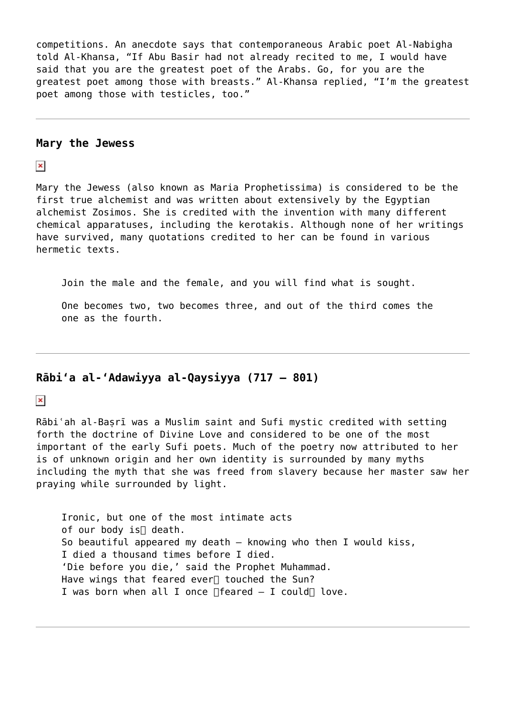competitions. An anecdote says that contemporaneous Arabic poet Al-Nabigha told Al-Khansa, "If Abu Basir had not already recited to me, I would have said that you are the greatest poet of the Arabs. Go, for you are the greatest poet among those with breasts." Al-Khansa replied, "I'm the greatest poet among those with testicles, too."

#### **Mary the Jewess**

 $\pmb{\times}$ 

Mary the Jewess (also known as Maria Prophetissima) is considered to be the first true alchemist and was written about extensively by the Egyptian alchemist Zosimos. She is credited with the invention with many different chemical apparatuses, including the kerotakis. Although none of her writings have survived, many quotations credited to her can be found in various hermetic texts.

Join the male and the female, and you will find what is sought.

One becomes two, two becomes three, and out of the third comes the one as the fourth.

# **Rābiʻa al-ʻAdawiyya al-Qaysiyya (717 – 801)**

 $\pmb{\times}$ 

Rābi'ah al-Basrī was a Muslim saint and Sufi mystic credited with setting forth the doctrine of Divine Love and considered to be one of the most important of the early Sufi poets. Much of the poetry now attributed to her is of unknown origin and her own identity is surrounded by many myths including the myth that she was freed from slavery because her master saw her praying while surrounded by light.

Ironic, but one of the most intimate acts of our body is
death. So beautiful appeared my death – knowing who then I would kiss, I died a thousand times before I died. 'Die before you die,' said the Prophet Muhammad. Have wings that feared ever<sup>[]</sup> touched the Sun? I was born when all I once  $\Box$  feared  $-$  I could $\Box$  love.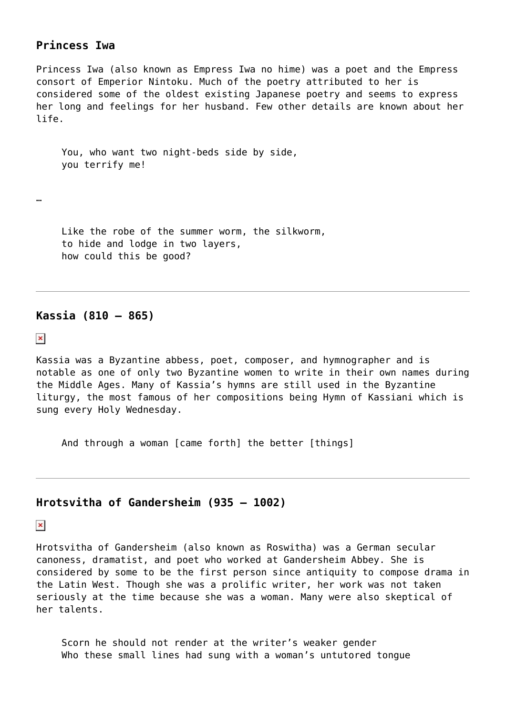# **Princess Iwa**

Princess Iwa (also known as Empress Iwa no hime) was a poet and the Empress consort of Emperior Nintoku. Much of the poetry attributed to her is considered some of the oldest existing Japanese poetry and seems to express her long and feelings for her husband. Few other details are known about her life.

You, who want two night-beds side by side, you terrify me!

…

Like the robe of the summer worm, the silkworm, to hide and lodge in two layers, how could this be good?

#### **Kassia (810 – 865)**

 $\pmb{\times}$ 

Kassia was a Byzantine abbess, poet, composer, and hymnographer and is notable as one of only two Byzantine women to write in their own names during the Middle Ages. Many of Kassia's hymns are still used in the Byzantine liturgy, the most famous of her compositions being Hymn of Kassiani which is sung every Holy Wednesday.

And through a woman [came forth] the better [things]

## **Hrotsvitha of Gandersheim (935 – 1002)**

 $\pmb{\times}$ 

Hrotsvitha of Gandersheim (also known as Roswitha) was a German secular canoness, dramatist, and poet who worked at Gandersheim Abbey. She is considered by some to be the first person since antiquity to compose drama in the Latin West. Though she was a prolific writer, her work was not taken seriously at the time because she was a woman. Many were also skeptical of her talents.

Scorn he should not render at the writer's weaker gender Who these small lines had sung with a woman's untutored tongue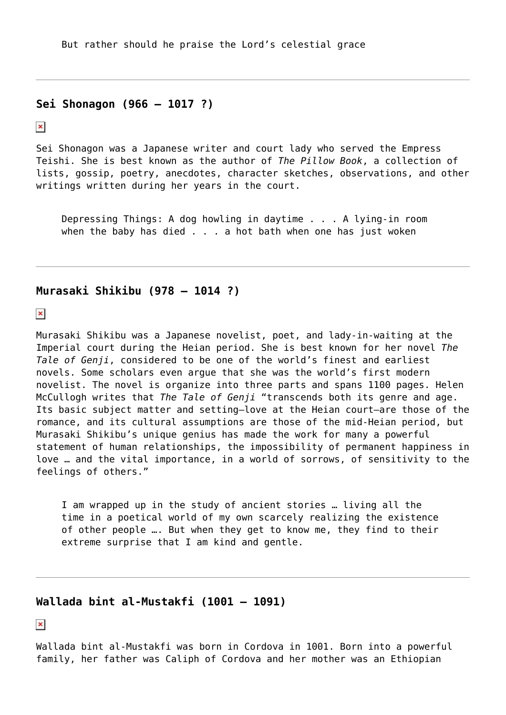But rather should he praise the Lord's celestial grace

#### **Sei Shonagon (966 – 1017 ?)**

 $\pmb{\times}$ 

Sei Shonagon was a Japanese writer and court lady who served the Empress Teishi. She is best known as the author of *The Pillow Book*, a collection of lists, gossip, poetry, anecdotes, character sketches, observations, and other writings written during her years in the court.

Depressing Things: A dog howling in daytime . . . A lying-in room when the baby has died . . . a hot bath when one has just woken

#### **Murasaki Shikibu (978 – 1014 ?)**

 $\pmb{\times}$ 

Murasaki Shikibu was a Japanese novelist, poet, and lady-in-waiting at the Imperial court during the Heian period. She is best known for her novel *The Tale of Genji*, considered to be one of the world's finest and earliest novels. Some scholars even argue that she was the world's first modern novelist. The novel is organize into three parts and spans 1100 pages. Helen McCullogh writes that *The Tale of Genji* "transcends both its genre and age. Its basic subject matter and setting—love at the Heian court—are those of the romance, and its cultural assumptions are those of the mid-Heian period, but Murasaki Shikibu's unique genius has made the work for many a powerful statement of human relationships, the impossibility of permanent happiness in love … and the vital importance, in a world of sorrows, of sensitivity to the feelings of others."

I am wrapped up in the study of ancient stories … living all the time in a poetical world of my own scarcely realizing the existence of other people …. But when they get to know me, they find to their extreme surprise that I am kind and gentle.

## **Wallada bint al-Mustakfi (1001 – 1091)**

 $\pmb{\times}$ 

Wallada bint al-Mustakfi was born in Cordova in 1001. Born into a powerful family, her father was Caliph of Cordova and her mother was an Ethiopian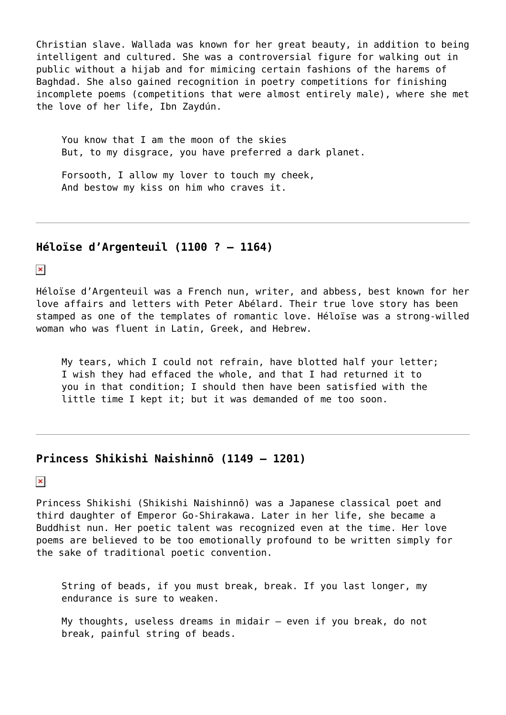Christian slave. Wallada was known for her great beauty, in addition to being intelligent and cultured. She was a controversial figure for walking out in public without a hijab and for mimicing certain fashions of the harems of Baghdad. She also gained recognition in poetry competitions for finishing incomplete poems (competitions that were almost entirely male), where she met the love of her life, Ibn Zaydún.

You know that I am the moon of the skies But, to my disgrace, you have preferred a dark planet.

Forsooth, I allow my lover to touch my cheek, And bestow my kiss on him who craves it.

## **Héloïse d'Argenteuil (1100 ? – 1164)**

 $\pmb{\times}$ 

Héloïse d'Argenteuil was a French nun, writer, and abbess, best known for her love affairs and letters with Peter Abélard. Their true love story has been stamped as one of the templates of romantic love. Héloïse was a strong-willed woman who was fluent in Latin, Greek, and Hebrew.

My tears, which I could not refrain, have blotted half your letter; I wish they had effaced the whole, and that I had returned it to you in that condition; I should then have been satisfied with the little time I kept it; but it was demanded of me too soon.

## **Princess Shikishi Naishinnō (1149 – 1201)**

 $\pmb{\times}$ 

Princess Shikishi (Shikishi Naishinnō) was a Japanese classical poet and third daughter of Emperor Go-Shirakawa. Later in her life, she became a Buddhist nun. Her poetic talent was recognized even at the time. Her love poems are believed to be too emotionally profound to be written simply for the sake of traditional poetic convention.

String of beads, if you must break, break. If you last longer, my endurance is sure to weaken.

My thoughts, useless dreams in midair – even if you break, do not break, painful string of beads.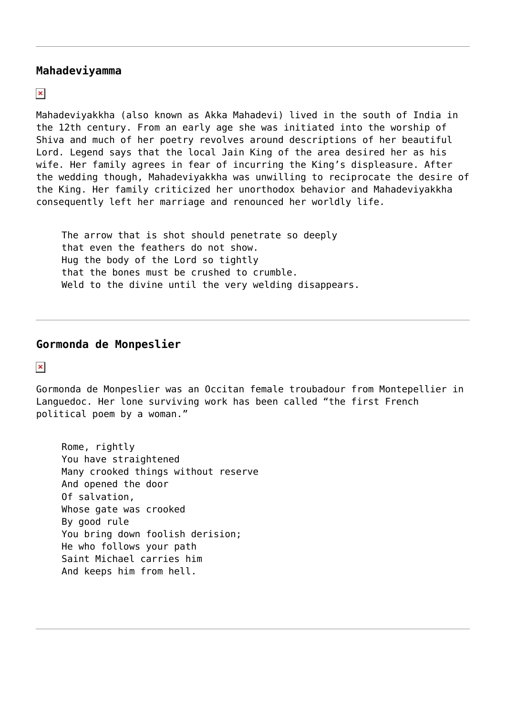### **Mahadeviyamma**

 $\pmb{\times}$ 

Mahadeviyakkha (also known as Akka Mahadevi) lived in the south of India in the 12th century. From an early age she was initiated into the worship of Shiva and much of her poetry revolves around descriptions of her beautiful Lord. Legend says that the local Jain King of the area desired her as his wife. Her family agrees in fear of incurring the King's displeasure. After the wedding though, Mahadeviyakkha was unwilling to reciprocate the desire of the King. Her family criticized her unorthodox behavior and Mahadeviyakkha consequently left her marriage and renounced her worldly life.

The arrow that is shot should penetrate so deeply that even the feathers do not show. Hug the body of the Lord so tightly that the bones must be crushed to crumble. Weld to the divine until the very welding disappears.

#### **Gormonda de Monpeslier**

 $\pmb{\times}$ 

Gormonda de Monpeslier was an Occitan female troubadour from Montepellier in Languedoc. Her lone surviving work has been called "the first French political poem by a woman."

Rome, rightly You have straightened Many crooked things without reserve And opened the door Of salvation, Whose gate was crooked By good rule You bring down foolish derision; He who follows your path Saint Michael carries him And keeps him from hell.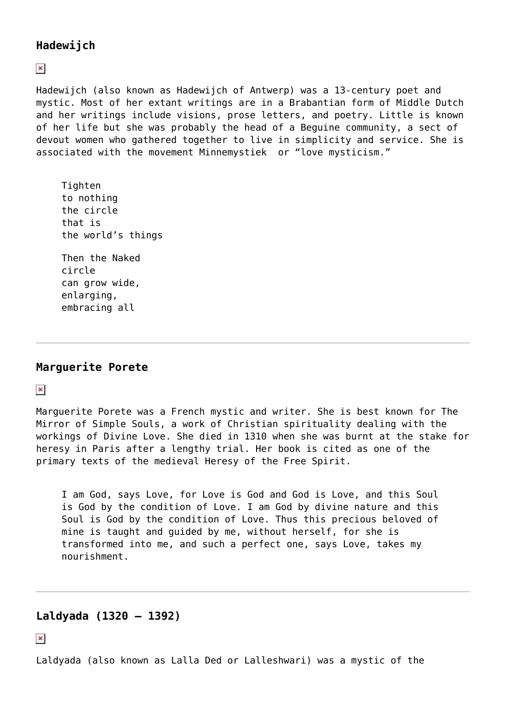# **Hadewijch**

 $\pmb{\times}$ 

Hadewijch (also known as Hadewijch of Antwerp) was a 13-century poet and mystic. Most of her extant writings are in a Brabantian form of Middle Dutch and her writings include visions, prose letters, and poetry. Little is known of her life but she was probably the head of a Beguine community, a sect of devout women who gathered together to live in simplicity and service. She is associated with the movement Minnemystiek or "love mysticism."

Tighten to nothing the circle that is the world's things

Then the Naked circle can grow wide, enlarging, embracing all

# **Marguerite Porete**

 $\pmb{\times}$ 

Marguerite Porete was a French mystic and writer. She is best known for The Mirror of Simple Souls, a work of Christian spirituality dealing with the workings of Divine Love. She died in 1310 when she was burnt at the stake for heresy in Paris after a lengthy trial. Her book is cited as one of the primary texts of the medieval Heresy of the Free Spirit.

I am God, says Love, for Love is God and God is Love, and this Soul is God by the condition of Love. I am God by divine nature and this Soul is God by the condition of Love. Thus this precious beloved of mine is taught and guided by me, without herself, for she is transformed into me, and such a perfect one, says Love, takes my nourishment.

# **Laldyada (1320 – 1392)**

 $\pmb{\times}$ 

Laldyada (also known as Lalla Ded or Lalleshwari) was a mystic of the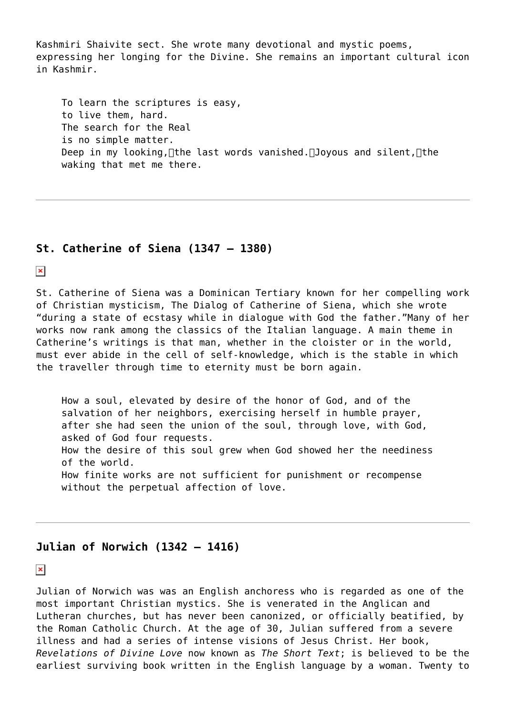Kashmiri Shaivite sect. She wrote many devotional and mystic poems, expressing her longing for the Divine. She remains an important cultural icon in Kashmir.

To learn the scriptures is easy, to live them, hard. The search for the Real is no simple matter. Deep in my looking, ∏the last words vanished. ∏Joyous and silent, ∏the waking that met me there.

## **St. Catherine of Siena (1347 – 1380)**

 $\pmb{\times}$ 

St. Catherine of Siena was a Dominican Tertiary known for her compelling work of Christian mysticism, The Dialog of Catherine of Siena, which she wrote "during a state of ecstasy while in dialogue with God the father."Many of her works now rank among the classics of the Italian language. A main theme in Catherine's writings is that man, whether in the cloister or in the world, must ever abide in the cell of self-knowledge, which is the stable in which the traveller through time to eternity must be born again.

How a soul, elevated by desire of the honor of God, and of the salvation of her neighbors, exercising herself in humble prayer, after she had seen the union of the soul, through love, with God, asked of God four requests. How the desire of this soul grew when God showed her the neediness of the world. How finite works are not sufficient for punishment or recompense without the perpetual affection of love.

### **Julian of Norwich (1342 – 1416)**

 $\pmb{\times}$ 

Julian of Norwich was was an English anchoress who is regarded as one of the most important Christian mystics. She is venerated in the Anglican and Lutheran churches, but has never been canonized, or officially beatified, by the Roman Catholic Church. At the age of 30, Julian suffered from a severe illness and had a series of intense visions of Jesus Christ. Her book, *Revelations of Divine Love* now known as *The Short Text*; is believed to be the earliest surviving book written in the English language by a woman. Twenty to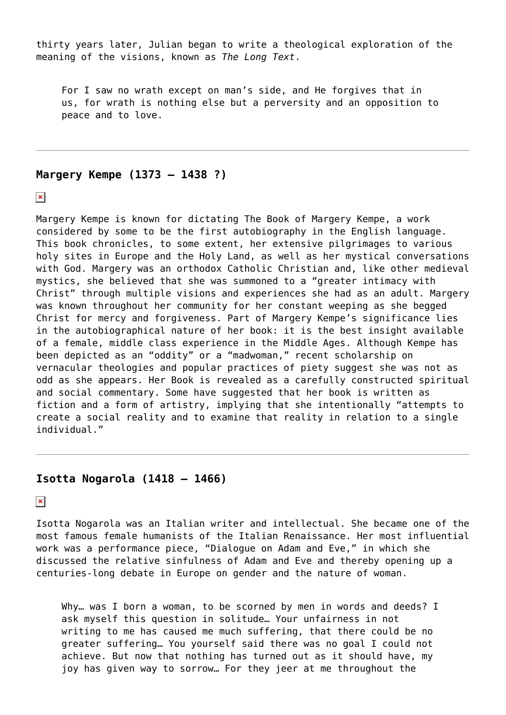thirty years later, Julian began to write a theological exploration of the meaning of the visions, known as *The Long Text*.

For I saw no wrath except on man's side, and He forgives that in us, for wrath is nothing else but a perversity and an opposition to peace and to love.

### **Margery Kempe (1373 – 1438 ?)**

 $\pmb{\times}$ 

Margery Kempe is known for dictating The Book of Margery Kempe, a work considered by some to be the first autobiography in the English language. This book chronicles, to some extent, her extensive pilgrimages to various holy sites in Europe and the Holy Land, as well as her mystical conversations with God. Margery was an orthodox Catholic Christian and, like other medieval mystics, she believed that she was summoned to a "greater intimacy with Christ" through multiple visions and experiences she had as an adult. Margery was known throughout her community for her constant weeping as she begged Christ for mercy and forgiveness. Part of Margery Kempe's significance lies in the autobiographical nature of her book: it is the best insight available of a female, middle class experience in the Middle Ages. Although Kempe has been depicted as an "oddity" or a "madwoman," recent scholarship on vernacular theologies and popular practices of piety suggest she was not as odd as she appears. Her Book is revealed as a carefully constructed spiritual and social commentary. Some have suggested that her book is written as fiction and a form of artistry, implying that she intentionally "attempts to create a social reality and to examine that reality in relation to a single individual."

## **Isotta Nogarola (1418 – 1466)**

 $\pmb{\times}$ 

Isotta Nogarola was an Italian writer and intellectual. She became one of the most famous female humanists of the Italian Renaissance. Her most influential work was a performance piece, "Dialogue on Adam and Eve," in which she discussed the relative sinfulness of Adam and Eve and thereby opening up a centuries-long debate in Europe on gender and the nature of woman.

Why... was I born a woman, to be scorned by men in words and deeds? I ask myself this question in solitude… Your unfairness in not writing to me has caused me much suffering, that there could be no greater suffering… You yourself said there was no goal I could not achieve. But now that nothing has turned out as it should have, my joy has given way to sorrow… For they jeer at me throughout the